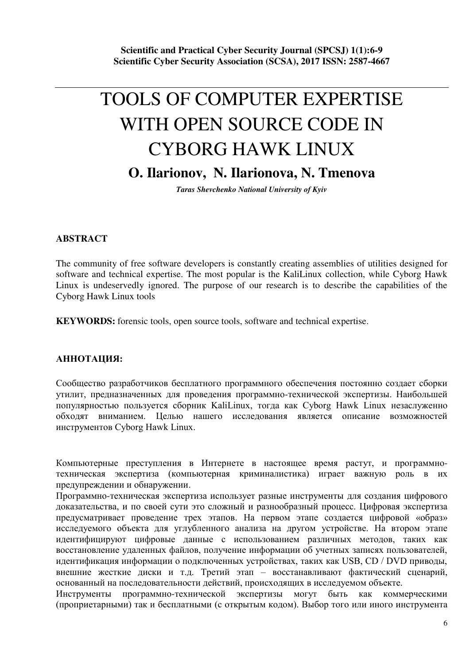# TOOLS OF COMPUTER EXPERTISE WITH OPEN SOURCE CODE IN CYBORG HAWK LINUX **O. Ilarionov, N. Ilarionova, N. Tmenova**

*Taras Shevchenko National University of Kyiv* 

## **ABSTRACT**

The community of free software developers is constantly creating assemblies of utilities designed for software and technical expertise. The most popular is the KaliLinux collection, while Cyborg Hawk Linux is undeservedly ignored. The purpose of our research is to describe the capabilities of the Cyborg Hawk Linux tools

**KEYWORDS:** forensic tools, open source tools, software and technical expertise.

## АННОТАЦИЯ:

Сообщество разработчиков бесплатного программного обеспечения постоянно создает сборки утилит, предназначенных для проведения программно-технической экспертизы. Наибольшей популярностью пользуется сборник KaliLinux, тогда как Cyborg Hawk Linux незаслуженно обходят вниманием. Целью нашего исследования является описание возможностей инструментов Cyborg Hawk Linux.

Компьютерные преступления в Интернете в настоящее время растут, и программнотехническая экспертиза (компьютерная криминалистика) играет важную роль в их предупреждении и обнаружении.

Программно-техническая экспертиза использует разные инструменты для создания цифрового доказательства, и по своей сути это сложный и разнообразный процесс. Цифровая экспертиза предусматривает проведение трех этапов. На первом этапе создается цифровой «образ» исследуемого объекта для углубленного анализа на другом устройстве. На втором этапе идентифицируют цифровые данные с использованием различных методов, таких как восстановление удаленных файлов, получение информации об учетных записях пользователей, идентификация информации о подключенных устройствах, таких как USB, CD / DVD приводы, внешние жесткие диски и т.д. Третий этап - восстанавливают фактический сценарий, основанный на последовательности действий, происходящих в исследуемом объекте.

Инструменты программно-технической экспертизы могут быть как коммерческими (проприетарными) так и бесплатными (с открытым кодом). Выбор того или иного инструмента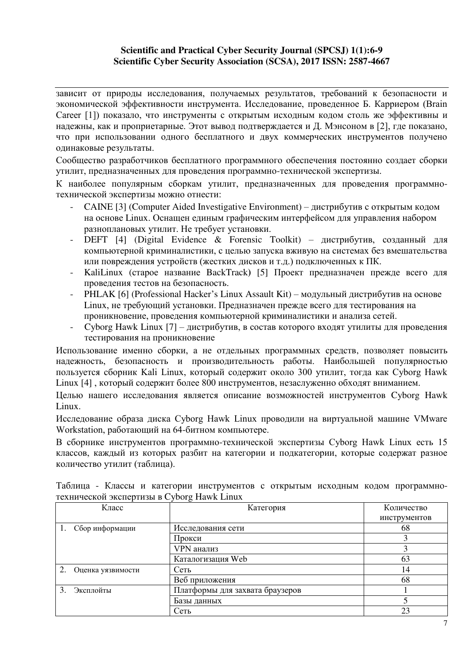#### **Scientific and Practical Cyber Security Journal (SPCSJ) 1(1):6-9 Scientific Cyber Security Association (SCSA), 2017 ISSN: 2587-4667**

зависит от природы исследования, получаемых результатов, требований к безопасности и экономической эффективности инструмента. Исследование, проведенное Б. Карриером (Brain Сагеег [1]) показало, что инструменты с открытым исходным кодом столь же эффективны и належны, как и проприетарные. Этот вывод подтверждается и Д. Мэнсоном в [2], где показано, что при использовании одного бесплатного и двух коммерческих инструментов получено одинаковые результаты.

Сообщество разработчиков бесплатного программного обеспечения постоянно создает сборки утилит, предназначенных для проведения программно-технической экспертизы.

К наиболее популярным сборкам утилит, предназначенных для проведения программнотехнической экспертизы можно отнести:

- CAINE [3] (Computer Aided Investigative Environment) дистрибутив с открытым кодом на основе Linux. Оснащен единым графическим интерфейсом для управления набором разноплановых утилит. Не требует установки.
- DEFT [4] (Digital Evidence & Forensic Toolkit) дистрибутив, созданный для компьютерной криминалистики, с целью запуска вживую на системах без вмешательства или повреждения устройств (жестких дисков и т.д.) подключенных к ПК.
- KaliLinux (старое название BackTrack) [5] Проект предназначен прежде всего для проведения тестов на безопасность.
- PHLAK [6] (Professional Hacker's Linux Assault Kit) модульный дистрибутив на основе Linux, не требующий установки. Предназначен прежде всего для тестирования на проникновение, проведения компьютерной криминалистики и анализа сетей.
- Cyborg Hawk Linux [7] дистрибутив, в состав которого входят утилиты для проведения тестирования на проникновение

Использование именно сборки, а не отдельных программных средств, позволяет повысить надежность, безопасность и производительность работы. Наибольшей популярностью пользуется сборник Kali Linux, который содержит около 300 утилит, тогда как Cyborg Hawk Linux [4], который содержит более 800 инструментов, незаслуженно обходят вниманием.

Целью нашего исследования является описание возможностей инструментов Cyborg Hawk Linux.

Исследование образа диска Cyborg Hawk Linux проводили на виртуальной машине VMware Workstation, работающий на 64-битном компьютере.

В сборнике инструментов программно-технической экспертизы Cyborg Hawk Linux есть 15 классов, каждый из которых разбит на категории и подкатегории, которые содержат разное количество утилит (таблица).

| Класс             | Категория                       | Количество   |
|-------------------|---------------------------------|--------------|
|                   |                                 | инструментов |
| Сбор информации   | Исследования сети               | 68           |
|                   | Прокси                          | 3            |
|                   | VPN анализ                      | 3            |
|                   | Каталогизация Web               | 63           |
| Оценка уязвимости | Сеть                            | 14           |
|                   | Веб приложения                  | 68           |
| Эксплойты         | Платформы для захвата браузеров |              |
|                   | Базы данных                     |              |
|                   | Сеть                            | 23           |

Таблица - Классы и категории инструментов с открытым исходным кодом программнотехнической экспертизы в Cyborg Hawk Linux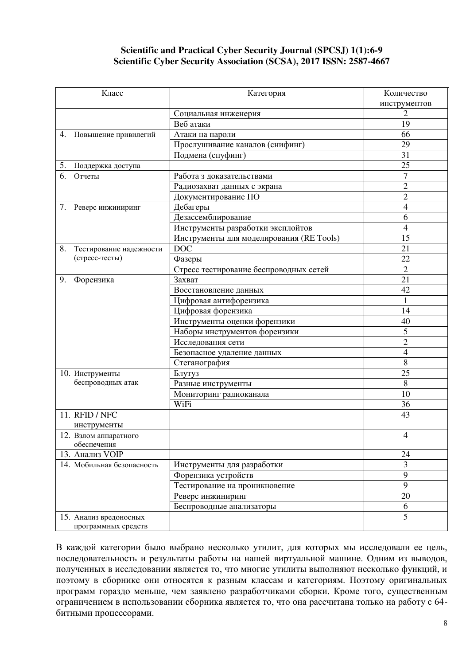#### **Scientific and Practical Cyber Security Journal (SPCSJ) 1(1):6-9 Scientific Cyber Security Association (SCSA), 2017 ISSN: 2587-4667**

|                            | Класс                   | Категория                                | Количество     |
|----------------------------|-------------------------|------------------------------------------|----------------|
|                            |                         |                                          | инструментов   |
|                            |                         | Социальная инженерия                     | 2              |
|                            |                         | Веб атаки                                | 19             |
| 4.                         | Повышение привилегий    | Атаки на пароли                          | 66             |
|                            |                         | Прослушивание каналов (снифинг)          | 29             |
|                            |                         | Подмена (спуфинг)                        | 31             |
| 5.<br>Поддержка доступа    |                         |                                          | 25             |
| 6.<br>Отчеты               |                         | Работа з доказательствами                | 7              |
|                            |                         | Радиозахват данных с экрана              | $\overline{c}$ |
|                            |                         | Документирование ПО                      | $\overline{2}$ |
| 7. Реверс инжиниринг       |                         | Дебагеры                                 | 4              |
|                            |                         | Дезассемблирование                       | 6              |
|                            |                         | Инструменты разработки эксплойтов        | $\overline{4}$ |
|                            |                         | Инструменты для моделирования (RE Tools) | 15             |
| 8.                         | Тестирование надежности | <b>DOC</b>                               | 21             |
| (стресс-тесты)             |                         | Фазеры                                   | 22             |
|                            |                         | Стресс тестирование беспроводных сетей   | $\overline{2}$ |
| 9.<br>Форензика            |                         | Захват                                   | 21             |
|                            |                         | Восстановление данных                    | 42             |
|                            |                         | Цифровая антифорензика                   |                |
|                            |                         | Цифровая форензика                       | 14             |
|                            |                         | Инструменты оценки форензики             | 40             |
|                            |                         | Наборы инструментов форензики            | 5              |
|                            |                         | Исследования сети                        | $\overline{c}$ |
|                            |                         | Безопасное удаление данных               | $\overline{4}$ |
|                            |                         | Стеганография                            | $8\,$          |
| 10. Инструменты            |                         | Блутуз                                   | 25             |
| беспроводных атак          |                         | Разные инструменты                       | 8              |
|                            |                         | Мониторинг радиоканала                   | 10             |
|                            |                         | WiFi                                     | 36             |
| 11. RFID / NFC             |                         |                                          | 43             |
| инструменты                |                         |                                          |                |
| 12. Взлом аппаратного      |                         |                                          | $\overline{4}$ |
| обеспечения                |                         |                                          |                |
| 13. Анализ VOIP            |                         |                                          | 24             |
| 14. Мобильная безопасность |                         | Инструменты для разработки               | 3              |
|                            |                         | Форензика устройств                      | 9              |
|                            |                         | Тестирование на проникновение            | 9              |
|                            |                         | Реверс инжиниринг                        | 20             |
|                            |                         | Беспроводные анализаторы                 | 6              |
| 15. Анализ вредоносных     | программных средств     |                                          | 5              |

В каждой категории было выбрано несколько утилит, для которых мы исследовали ее цель, последовательность и результаты работы на нашей виртуальной машине. Одним из выводов, полученных в исследовании является то, что многие утилиты выполняют несколько функций, и поэтому в сборнике они относятся к разным классам и категориям. Поэтому оригинальных программ гораздо меньше, чем заявлено разработчиками сборки. Кроме того, существенным ограничением в использовании сборника является то, что она рассчитана только на работу с 64битными процессорами.